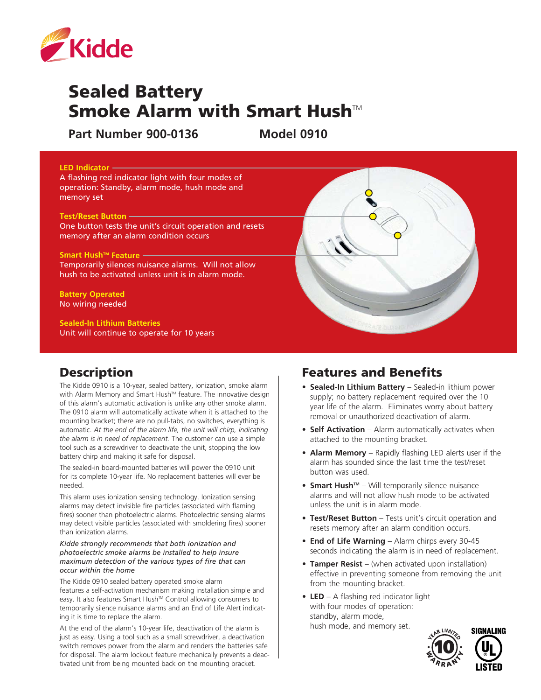

# Sealed Battery Smoke Alarm with Smart Hush $M$

**Part Number 900-0136 Model 0910**

#### **LED Indicator** A flashing red indicator light with four modes of operation: Standby, alarm mode, hush mode and memory set **Test/Reset Button** One button tests the unit's circuit operation and resets memory after an alarm condition occurs **Smart Hush™ Feature —** Temporarily silences nuisance alarms. Will not allow hush to be activated unless unit is in alarm mode. **Battery Operated** No wiring needed **Sealed-In Lithium Batteries**

Unit will continue to operate for 10 years

### **Description**

The Kidde 0910 is a 10-year, sealed battery, ionization, smoke alarm with Alarm Memory and Smart Hush™ feature. The innovative design of this alarm's automatic activation is unlike any other smoke alarm. The 0910 alarm will automatically activate when it is attached to the mounting bracket; there are no pull-tabs, no switches, everything is automatic. *At the end of the alarm life, the unit will chirp, indicating the alarm is in need of replacement.* The customer can use a simple tool such as a screwdriver to deactivate the unit, stopping the low battery chirp and making it safe for disposal.

The sealed-in board-mounted batteries will power the 0910 unit for its complete 10-year life. No replacement batteries will ever be needed.

This alarm uses ionization sensing technology. Ionization sensing alarms may detect invisible fire particles (associated with flaming fires) sooner than photoelectric alarms. Photoelectric sensing alarms may detect visible particles (associated with smoldering fires) sooner than ionization alarms.

*Kidde strongly recommends that both ionization and photoelectric smoke alarms be installed to help insure maximum detection of the various types of fire that can occur within the home*

The Kidde 0910 sealed battery operated smoke alarm features a self-activation mechanism making installation simple and easy. It also features Smart Hush™ Control allowing consumers to temporarily silence nuisance alarms and an End of Life Alert indicating it is time to replace the alarm.

At the end of the alarm's 10-year life, deactivation of the alarm is just as easy. Using a tool such as a small screwdriver, a deactivation switch removes power from the alarm and renders the batteries safe for disposal. The alarm lockout feature mechanically prevents a deactivated unit from being mounted back on the mounting bracket.

### Features and Benefits

- **• Sealed-In Lithium Battery** Sealed-in lithium power supply; no battery replacement required over the 10 year life of the alarm. Eliminates worry about battery removal or unauthorized deactivation of alarm.
- **Self Activation** Alarm automatically activates when attached to the mounting bracket.
- **• Alarm Memory** Rapidly flashing LED alerts user if the alarm has sounded since the last time the test/reset button was used.
- **Smart Hush<sup>™</sup>** Will temporarily silence nuisance alarms and will not allow hush mode to be activated unless the unit is in alarm mode.
- **• Test/Reset Button** Tests unit's circuit operation and resets memory after an alarm condition occurs.
- **• End of Life Warning** Alarm chirps every 30-45 seconds indicating the alarm is in need of replacement.
- **• Tamper Resist** (when activated upon installation) effective in preventing someone from removing the unit from the mounting bracket.
- **LED** A flashing red indicator light with four modes of operation: standby, alarm mode, hush mode, and memory set.